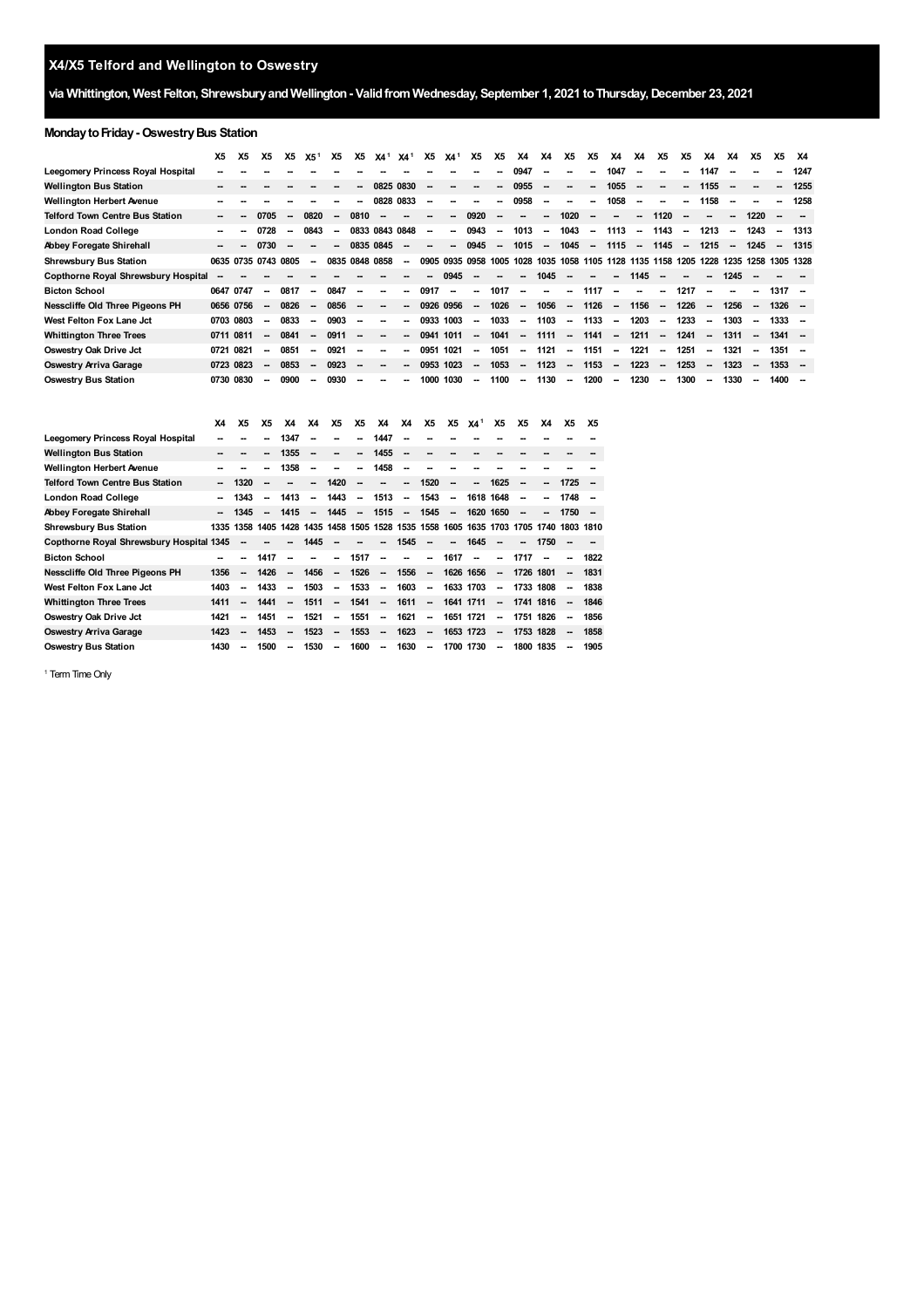## **via Whittington, West Felton, ShrewsburyandWellington- Validfrom Wednesday, September 1, 2021 toThursday,December 23, 2021**

## **Monday to Friday - Oswestry Bus Station**

|                                        | X5        | Х5   | Х5                       | Х5   | X5 <sup>1</sup>          | <b>X5</b>                | <b>X5</b>                | X4 <sup>1</sup>          | X4 <sup>1</sup>          | <b>X5</b>                | X4 <sup>1</sup>          | <b>X5</b>                | <b>X5</b> | <b>X4</b>                | <b>X4</b>                | X5                       | <b>X5</b>                | X4                       | X4                       | X5                       | Х5                       | X4                                                                                   | X4                       | X5                       | X5                       | X4   |
|----------------------------------------|-----------|------|--------------------------|------|--------------------------|--------------------------|--------------------------|--------------------------|--------------------------|--------------------------|--------------------------|--------------------------|-----------|--------------------------|--------------------------|--------------------------|--------------------------|--------------------------|--------------------------|--------------------------|--------------------------|--------------------------------------------------------------------------------------|--------------------------|--------------------------|--------------------------|------|
| Leegomery Princess Royal Hospital      |           |      |                          |      |                          |                          |                          |                          |                          |                          |                          |                          | --        | 0947                     | --                       |                          | --                       | 1047                     | --                       | --                       | -                        | 1147                                                                                 |                          |                          | $\overline{\phantom{a}}$ | 1247 |
| Wellington Bus Station                 |           |      |                          |      |                          |                          | --                       | 0825 0830                |                          |                          |                          |                          | Ξ.        | 0955                     | $\overline{\phantom{a}}$ |                          | --                       | 1055                     | $\overline{\phantom{a}}$ | $\overline{\phantom{a}}$ | $\overline{\phantom{a}}$ | 1155                                                                                 |                          |                          | $\overline{\phantom{a}}$ | 1255 |
| Wellington Herbert Avenue              |           |      |                          |      |                          |                          | --                       | 0828 0833                |                          | -                        |                          |                          | --        | 0958                     | $\overline{\phantom{a}}$ | --                       | --                       | 1058                     | $\overline{\phantom{a}}$ | --                       | $\overline{\phantom{a}}$ | 1158                                                                                 | $\overline{\phantom{a}}$ | -                        | $\overline{\phantom{a}}$ | 1258 |
| <b>Telford Town Centre Bus Station</b> |           |      | 0705                     |      | 0820                     | $\overline{\phantom{a}}$ | 0810                     |                          |                          |                          | --                       | 0920                     | -         | $\overline{\phantom{a}}$ | $\overline{\phantom{a}}$ | 1020                     | --                       | $\overline{\phantom{a}}$ | --                       | 1120                     | $\overline{\phantom{a}}$ | $\overline{\phantom{a}}$                                                             | $\overline{\phantom{a}}$ | 1220                     |                          |      |
| London Road College                    |           |      | 0728                     |      | 0843                     | $\overline{\phantom{a}}$ |                          | 0833 0843 0848           |                          | $\overline{\phantom{a}}$ | --                       | 0943                     | $\sim$    | 1013                     | $\overline{\phantom{a}}$ | 1043                     | $\overline{\phantom{a}}$ | 1113                     | $\overline{\phantom{a}}$ | 1143                     | $\overline{\phantom{a}}$ | 1213                                                                                 | $\overline{\phantom{a}}$ | 1243                     | $\overline{\phantom{a}}$ | 1313 |
| Abbey Foregate Shirehall               |           | --   | 0730                     |      | $\overline{\phantom{a}}$ | $\overline{\phantom{a}}$ | 0835 0845                |                          | $\overline{\phantom{a}}$ | -                        | -                        | 0945                     | $\sim$    | 1015                     | $\sim$                   | 1045                     | $\sim$                   | 1115                     |                          | $-1145$                  | $\overline{\phantom{a}}$ | 1215                                                                                 | $\sim$                   | 1245                     | $\overline{\phantom{a}}$ | 1315 |
| <b>Shrewsbury Bus Station</b>          |           |      | 0635 0735 0743 0805      |      | $\sim$                   |                          | 0835 0848 0858           |                          | $\sim$                   |                          |                          |                          |           |                          |                          |                          |                          |                          |                          |                          |                          | 0905 0935 0958 1005 1028 1035 1058 1105 1128 1135 1158 1205 1228 1235 1258 1305 1328 |                          |                          |                          |      |
| Copthorne Royal Shrewsbury Hospital    |           |      |                          |      |                          |                          |                          |                          |                          |                          | 0945                     |                          |           |                          | 1045                     |                          | --                       | $\sim$                   | 1145                     |                          |                          | -                                                                                    | 1245                     |                          |                          |      |
| <b>Bicton School</b>                   | 0647 0747 |      | $\overline{\phantom{a}}$ | 0817 | $\overline{\phantom{a}}$ | 0847                     | $\overline{\phantom{a}}$ | $\overline{\phantom{a}}$ | -                        | 0917                     | $\overline{\phantom{a}}$ | $\sim$                   | 1017      | $\overline{\phantom{a}}$ | $\overline{\phantom{a}}$ | $\sim$                   | 1117                     | $\overline{\phantom{a}}$ | $\overline{\phantom{a}}$ | $\sim$                   | 1217                     | $\overline{\phantom{a}}$                                                             |                          |                          | $1317 -$                 |      |
| Nesscliffe Old Three Pigeons PH        | 0656 0756 |      | $\overline{\phantom{a}}$ | 0826 | $\overline{\phantom{a}}$ | 0856                     | $\sim$                   |                          | $\overline{\phantom{a}}$ |                          | 0926 0956                | $\sim$                   | 1026      | $\sim$                   | 1056                     | $\sim$                   | 1126                     | $\sim$                   | 1156                     | $\sim$                   | 1226                     | $\overline{\phantom{a}}$                                                             | 1256                     | $\sim$                   | $1326 -$                 |      |
| West Felton Fox Lane Jct               | 0703 0803 |      | $\sim$                   | 0833 | $\sim$                   | 0903                     | $\overline{\phantom{a}}$ | $\overline{\phantom{a}}$ | Ξ.                       |                          | 0933 1003                | $\sim$                   | 1033      | $\sim$                   | 1103                     | $\sim$                   | 1133                     | $\sim$                   | 1203                     | $\sim$                   | 1233                     | $\sim$                                                                               | 1303                     | $\sim$                   | 1333 –                   |      |
| <b>Whittington Three Trees</b>         | 0711 0811 |      | $\overline{\phantom{a}}$ | 0841 | $\sim$                   | 0911                     | $\overline{\phantom{a}}$ |                          | Ξ.                       |                          | 0941 1011                | $\sim$                   | 1041      | $\sim$                   | 1111                     | <b>Contract</b>          | 1141                     | $\sim$                   | 1211                     | $\sim$                   | 1241                     | $\overline{\phantom{a}}$                                                             | 1311                     | $\sim$                   | $1341 -$                 |      |
| Oswestry Oak Drive Jct                 | 0721      | 0821 | $\sim$                   | 0851 | -                        | 0921                     | $\overline{\phantom{a}}$ |                          | $\overline{\phantom{a}}$ |                          | 0951 1021                | $\sim$                   | 1051      | $\sim$                   | 1121 -                   |                          | 1151                     | $\sim$                   | 1221                     | $\sim$                   | 1251                     | $\sim$                                                                               | 1321                     | $\overline{\phantom{a}}$ | 1351                     |      |
| Oswestry Arriva Garage                 | 0723 0823 |      | $\sim$                   | 0853 | $\overline{\phantom{a}}$ | 0923                     | $\overline{\phantom{a}}$ |                          | Ξ.                       |                          | 0953 1023                | $\sim$                   | 1053      | $\sim$                   | 1123                     | $\sim$                   | 1153                     | $\sim$                   | 1223                     | $\sim$                   | 1253                     | $\overline{\phantom{a}}$                                                             | 1323                     | $\overline{\phantom{a}}$ | $1353 -$                 |      |
| <b>Oswestry Bus Station</b>            | 0730 0830 |      | $\overline{\phantom{a}}$ | 0900 | $\overline{\phantom{a}}$ | 0930                     | $\overline{\phantom{a}}$ |                          |                          | 1000                     | 1030                     | $\overline{\phantom{a}}$ | 1100      | $\sim$                   | 1130                     | $\overline{\phantom{a}}$ | 1200                     | $\overline{\phantom{a}}$ | 1230                     | $\sim$                   | 1300                     | $\overline{\phantom{a}}$                                                             | 1330                     | $\overline{\phantom{a}}$ | $1400 -$                 |      |

|                                          | X4   | <b>X5</b> | <b>X5</b> | X4                       | X4                       | X <sub>5</sub>           | <b>X5</b>                | X4                                           | X4                       | <b>X5</b>                | <b>X5</b>                | X4 <sup>1</sup> | <b>X5</b>                | <b>X5</b> | X4                       | Х5                       | Х5   |
|------------------------------------------|------|-----------|-----------|--------------------------|--------------------------|--------------------------|--------------------------|----------------------------------------------|--------------------------|--------------------------|--------------------------|-----------------|--------------------------|-----------|--------------------------|--------------------------|------|
| Leegomery Princess Royal Hospital        |      |           |           | 1347                     |                          |                          |                          | 1447                                         |                          |                          |                          |                 |                          |           |                          |                          |      |
| Wellington Bus Station                   | --   |           | -         | 1355                     | --                       |                          | -                        | 1455                                         | $\overline{\phantom{a}}$ |                          |                          |                 |                          |           |                          |                          |      |
| Wellington Herbert Avenue                |      |           | --        | 1358                     |                          |                          |                          | 1458                                         | $\overline{\phantom{a}}$ |                          |                          |                 |                          |           |                          |                          |      |
| Telford Town Centre Bus Station          |      | 1320      |           |                          |                          | 1420                     |                          |                                              | $\overline{\phantom{a}}$ | 1520                     | -                        | --              | 1625                     | --        |                          | 1725                     |      |
| London Road College                      |      | 1343      | -         | 1413                     | -                        | 1443                     | $\overline{\phantom{a}}$ | 1513                                         | $\sim$                   | 1543                     | $\sim$                   | 1618 1648       |                          | --        | $\overline{\phantom{a}}$ | 1748                     |      |
| Abbey Foregate Shirehall                 |      | 1345      | --        | 1415                     | $\overline{\phantom{a}}$ | 1445                     | $\overline{\phantom{a}}$ | 1515                                         | $\sim$                   | 1545                     | $\overline{\phantom{a}}$ |                 | 1620 1650                |           |                          | 1750                     | --   |
| <b>Shrewsbury Bus Station</b>            | 1335 | 1358      | 1405      | 1428                     |                          |                          |                          | 1435 1458 1505 1528 1535 1558 1605 1635 1703 |                          |                          |                          |                 |                          | 1705 1740 |                          | 1803 1810                |      |
| Copthorne Royal Shrewsbury Hospital 1345 |      | --        |           | -                        | 1445                     |                          |                          | ш.                                           | 1545                     | $\overline{\phantom{a}}$ | --                       | 1645            | $\overline{\phantom{a}}$ | --        | 1750                     |                          |      |
| <b>Bicton School</b>                     |      | --        | 1417      | --                       |                          | --                       | 1517                     | $\overline{\phantom{a}}$                     |                          | --                       | 1617                     | --              | --                       | 1717      |                          |                          | 1822 |
| Nesscliffe Old Three Pigeons PH          | 1356 | --        | 1426      | --                       | 1456                     | $\overline{\phantom{a}}$ | 1526                     | $\overline{\phantom{a}}$                     | 1556                     | $\overline{\phantom{a}}$ | 1626 1656                |                 | --                       | 1726 1801 |                          | --                       | 1831 |
| West Felton Fox Lane Jct                 | 1403 | --        | 1433      | --                       | 1503                     | $\overline{\phantom{a}}$ | 1533                     | $\overline{\phantom{a}}$                     | 1603                     | $\overline{\phantom{a}}$ | 1633 1703                |                 | $\overline{\phantom{a}}$ | 1733 1808 |                          | $\overline{\phantom{a}}$ | 1838 |
| Whittington Three Trees                  | 1411 | --        | 1441      | --                       | 1511                     | $\overline{\phantom{a}}$ | 1541                     | --                                           | 1611                     | $\overline{\phantom{a}}$ | 1641 1711                |                 | -                        | 1741 1816 |                          |                          | 1846 |
| Oswestry Oak Drive Jct                   | 1421 | --        | 1451      | $\overline{\phantom{a}}$ | 1521                     | $\overline{\phantom{a}}$ | 1551                     | $\overline{\phantom{a}}$                     | 1621                     | $\overline{\phantom{a}}$ | 1651                     | 1721            | $\overline{\phantom{a}}$ |           | 1751 1826                | $\sim$                   | 1856 |
| Oswestry Arriva Garage                   | 1423 | --        | 1453      | --                       | 1523                     | -                        | 1553                     | $\overline{\phantom{a}}$                     | 1623                     | $\overline{\phantom{a}}$ | 1653 1723                |                 | -                        | 1753 1828 |                          | --                       | 1858 |
| Oswestry Bus Station                     | 1430 | --        | 1500      | --                       | 1530                     | --                       | 1600                     | $\overline{\phantom{a}}$                     | 1630                     | $\overline{\phantom{a}}$ | 1700 1730                |                 | -                        |           | 1800 1835                |                          | 1905 |

<span id="page-0-0"></span><sup>1</sup> Term Time Only